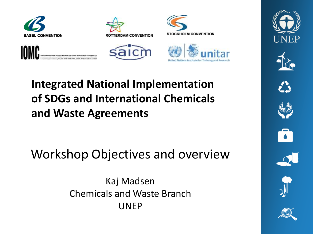











#### **Integrated National Implementation of SDGs and International Chemicals and Waste Agreements**

Workshop Objectives and overview

Kaj Madsen Chemicals and Waste Branch UNEP













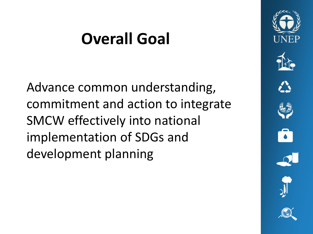### **Overall Goal**

Advance common understanding, commitment and action to integrate SMCW effectively into national implementation of SDGs and development planning

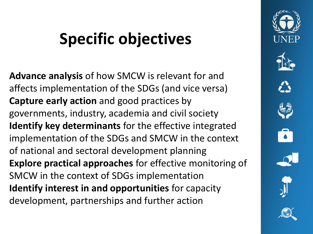### **Specific objectives**

**Advance analysis** of how SMCW is relevant for and affects implementation of the SDGs (and vice versa) **Capture early action** and good practices by governments, industry, academia and civil society **Identify key determinants** for the effective integrated implementation of the SDGs and SMCW in the context of national and sectoral development planning **Explore practical approaches** for effective monitoring of SMCW in the context of SDGs implementation **Identify interest in and opportunities** for capacity development, partnerships and further action

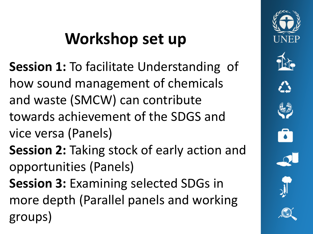# **Workshop set up**

- **Session 1:** To facilitate Understanding of how sound management of chemicals and waste (SMCW) can contribute towards achievement of the SDGS and vice versa (Panels)
- **Session 2:** Taking stock of early action and opportunities (Panels)
- **Session 3:** Examining selected SDGs in more depth (Parallel panels and working groups)

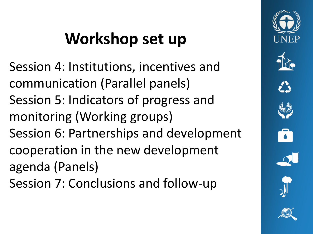# **Workshop set up**

Session 4: Institutions, incentives and communication (Parallel panels) Session 5: Indicators of progress and monitoring (Working groups) Session 6: Partnerships and development cooperation in the new development agenda (Panels) Session 7: Conclusions and follow-up

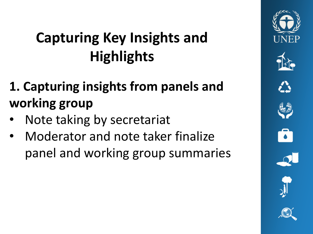### **Capturing Key Insights and Highlights**

- **1. Capturing insights from panels and working group**
- Note taking by secretariat
- Moderator and note taker finalize panel and working group summaries